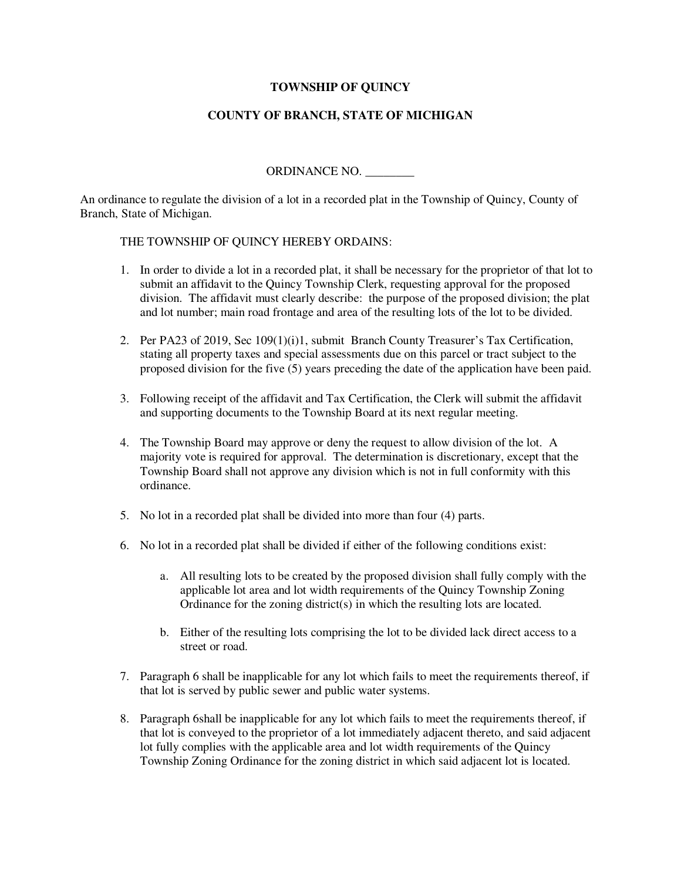## **TOWNSHIP OF QUINCY**

## **COUNTY OF BRANCH, STATE OF MICHIGAN**

ORDINANCE NO. \_\_\_\_\_\_\_\_

An ordinance to regulate the division of a lot in a recorded plat in the Township of Quincy, County of Branch, State of Michigan.

## THE TOWNSHIP OF QUINCY HEREBY ORDAINS:

- 1. In order to divide a lot in a recorded plat, it shall be necessary for the proprietor of that lot to submit an affidavit to the Quincy Township Clerk, requesting approval for the proposed division. The affidavit must clearly describe: the purpose of the proposed division; the plat and lot number; main road frontage and area of the resulting lots of the lot to be divided.
- 2. Per PA23 of 2019, Sec 109(1)(i)1, submit Branch County Treasurer's Tax Certification, stating all property taxes and special assessments due on this parcel or tract subject to the proposed division for the five (5) years preceding the date of the application have been paid.
- 3. Following receipt of the affidavit and Tax Certification, the Clerk will submit the affidavit and supporting documents to the Township Board at its next regular meeting.
- 4. The Township Board may approve or deny the request to allow division of the lot. A majority vote is required for approval. The determination is discretionary, except that the Township Board shall not approve any division which is not in full conformity with this ordinance.
- 5. No lot in a recorded plat shall be divided into more than four (4) parts.
- 6. No lot in a recorded plat shall be divided if either of the following conditions exist:
	- a. All resulting lots to be created by the proposed division shall fully comply with the applicable lot area and lot width requirements of the Quincy Township Zoning Ordinance for the zoning district(s) in which the resulting lots are located.
	- b. Either of the resulting lots comprising the lot to be divided lack direct access to a street or road.
- 7. Paragraph 6 shall be inapplicable for any lot which fails to meet the requirements thereof, if that lot is served by public sewer and public water systems.
- 8. Paragraph 6shall be inapplicable for any lot which fails to meet the requirements thereof, if that lot is conveyed to the proprietor of a lot immediately adjacent thereto, and said adjacent lot fully complies with the applicable area and lot width requirements of the Quincy Township Zoning Ordinance for the zoning district in which said adjacent lot is located.